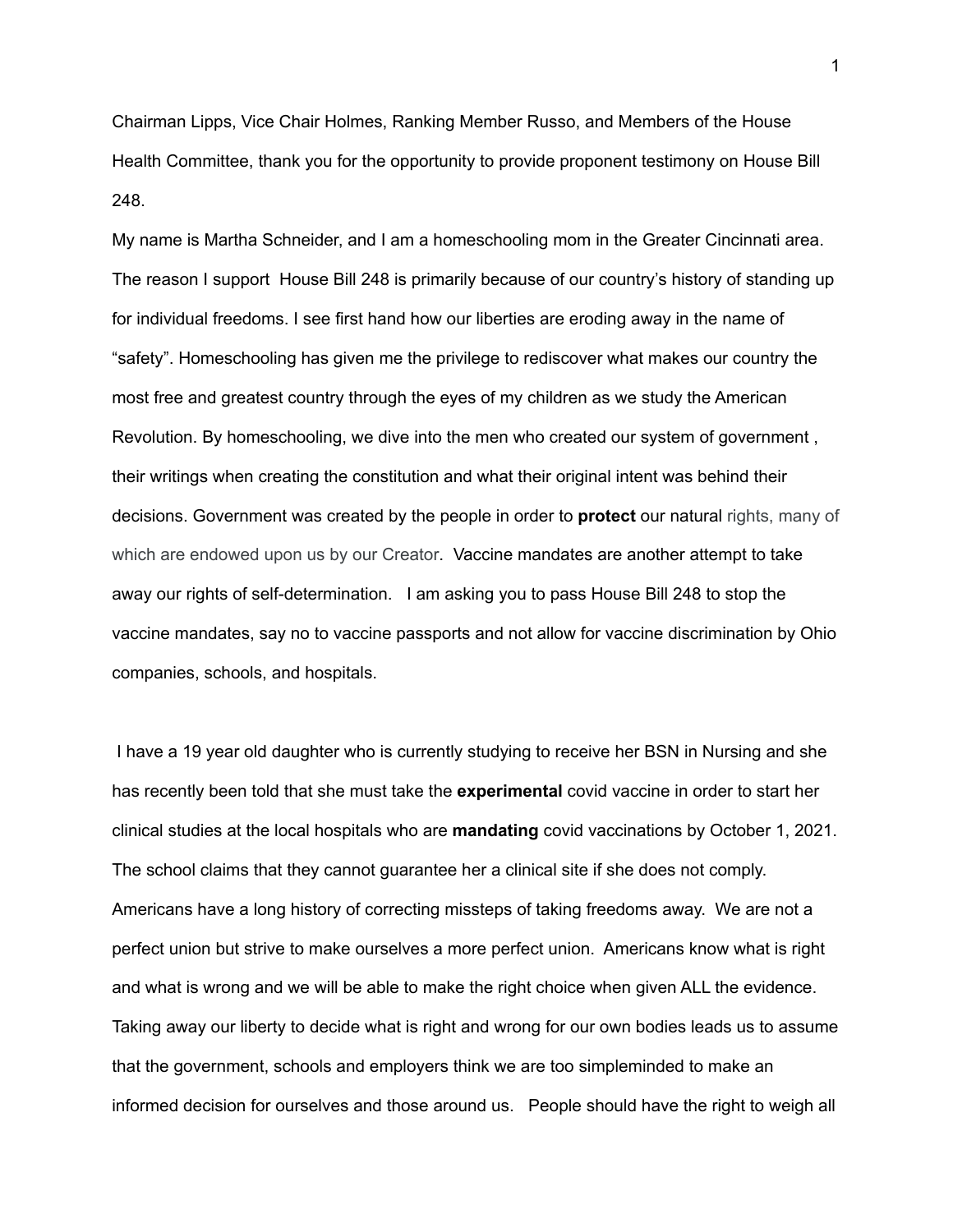Chairman Lipps, Vice Chair Holmes, Ranking Member Russo, and Members of the House Health Committee, thank you for the opportunity to provide proponent testimony on House Bill 248.

My name is Martha Schneider, and I am a homeschooling mom in the Greater Cincinnati area. The reason I support House Bill 248 is primarily because of our country's history of standing up for individual freedoms. I see first hand how our liberties are eroding away in the name of "safety". Homeschooling has given me the privilege to rediscover what makes our country the most free and greatest country through the eyes of my children as we study the American Revolution. By homeschooling, we dive into the men who created our system of government , their writings when creating the constitution and what their original intent was behind their decisions. Government was created by the people in order to **protect** our natural rights, many of which are endowed upon us by our Creator. Vaccine mandates are another attempt to take away our rights of self-determination. I am asking you to pass House Bill 248 to stop the vaccine mandates, say no to vaccine passports and not allow for vaccine discrimination by Ohio companies, schools, and hospitals.

I have a 19 year old daughter who is currently studying to receive her BSN in Nursing and she has recently been told that she must take the **experimental** covid vaccine in order to start her clinical studies at the local hospitals who are **mandating** covid vaccinations by October 1, 2021. The school claims that they cannot guarantee her a clinical site if she does not comply. Americans have a long history of correcting missteps of taking freedoms away. We are not a perfect union but strive to make ourselves a more perfect union. Americans know what is right and what is wrong and we will be able to make the right choice when given ALL the evidence. Taking away our liberty to decide what is right and wrong for our own bodies leads us to assume that the government, schools and employers think we are too simpleminded to make an informed decision for ourselves and those around us. People should have the right to weigh all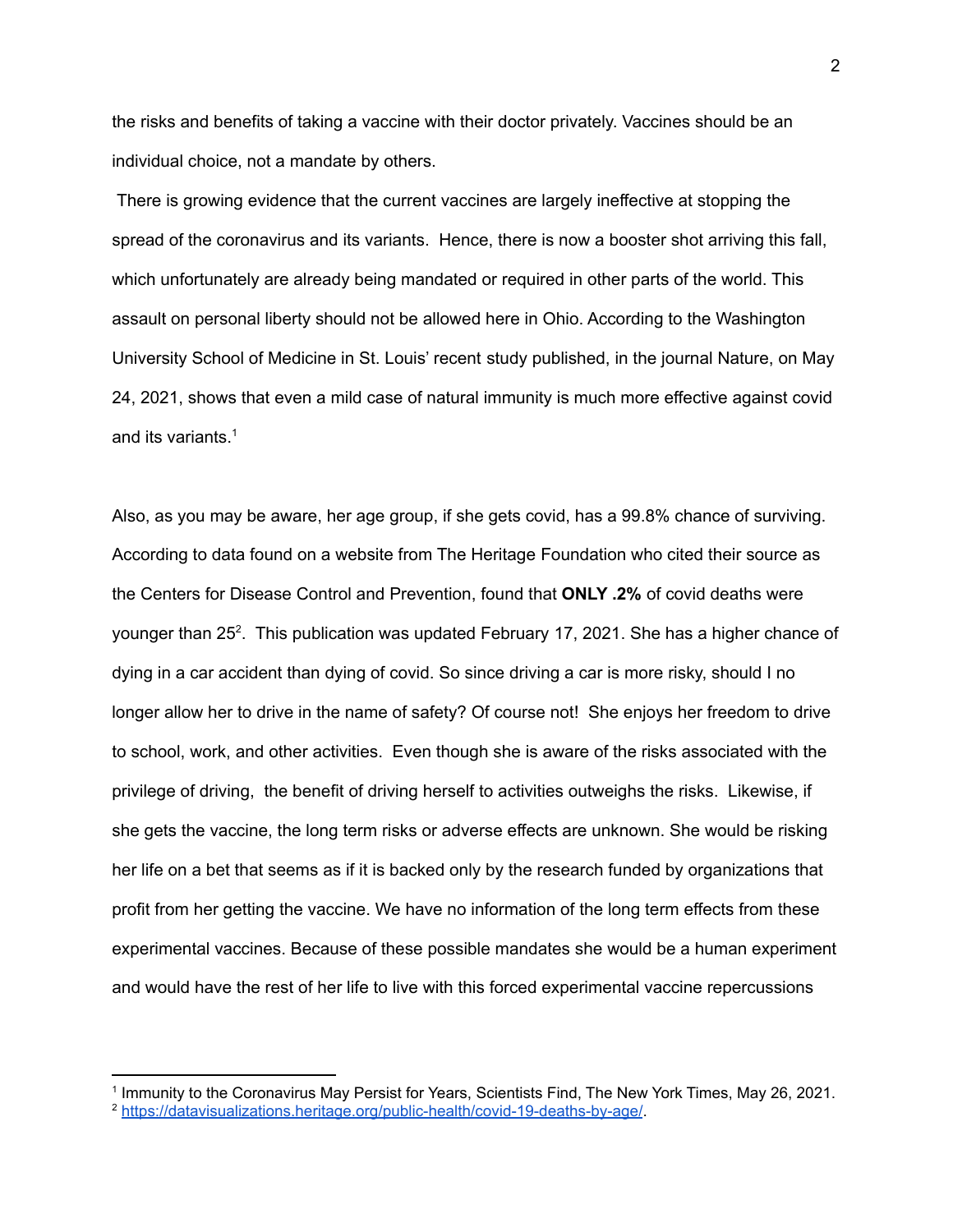the risks and benefits of taking a vaccine with their doctor privately. Vaccines should be an individual choice, not a mandate by others.

There is growing evidence that the current vaccines are largely ineffective at stopping the spread of the coronavirus and its variants. Hence, there is now a booster shot arriving this fall, which unfortunately are already being mandated or required in other parts of the world. This assault on personal liberty should not be allowed here in Ohio. According to the Washington University School of Medicine in St. Louis' recent study published, in the journal Nature, on May 24, 2021, shows that even a mild case of natural immunity is much more effective against covid and its variants. 1

Also, as you may be aware, her age group, if she gets covid, has a 99.8% chance of surviving. According to data found on a website from The Heritage Foundation who cited their source as the Centers for Disease Control and Prevention, found that **ONLY .2%** of covid deaths were younger than 25<sup>2</sup>. This publication was updated February 17, 2021. She has a higher chance of dying in a car accident than dying of covid. So since driving a car is more risky, should I no longer allow her to drive in the name of safety? Of course not! She enjoys her freedom to drive to school, work, and other activities. Even though she is aware of the risks associated with the privilege of driving, the benefit of driving herself to activities outweighs the risks. Likewise, if she gets the vaccine, the long term risks or adverse effects are unknown. She would be risking her life on a bet that seems as if it is backed only by the research funded by organizations that profit from her getting the vaccine. We have no information of the long term effects from these experimental vaccines. Because of these possible mandates she would be a human experiment and would have the rest of her life to live with this forced experimental vaccine repercussions

2

<sup>2</sup> <https://datavisualizations.heritage.org/public-health/covid-19-deaths-by-age/>. 1 Immunity to the Coronavirus May Persist for Years, Scientists Find, The New York Times, May 26, 2021.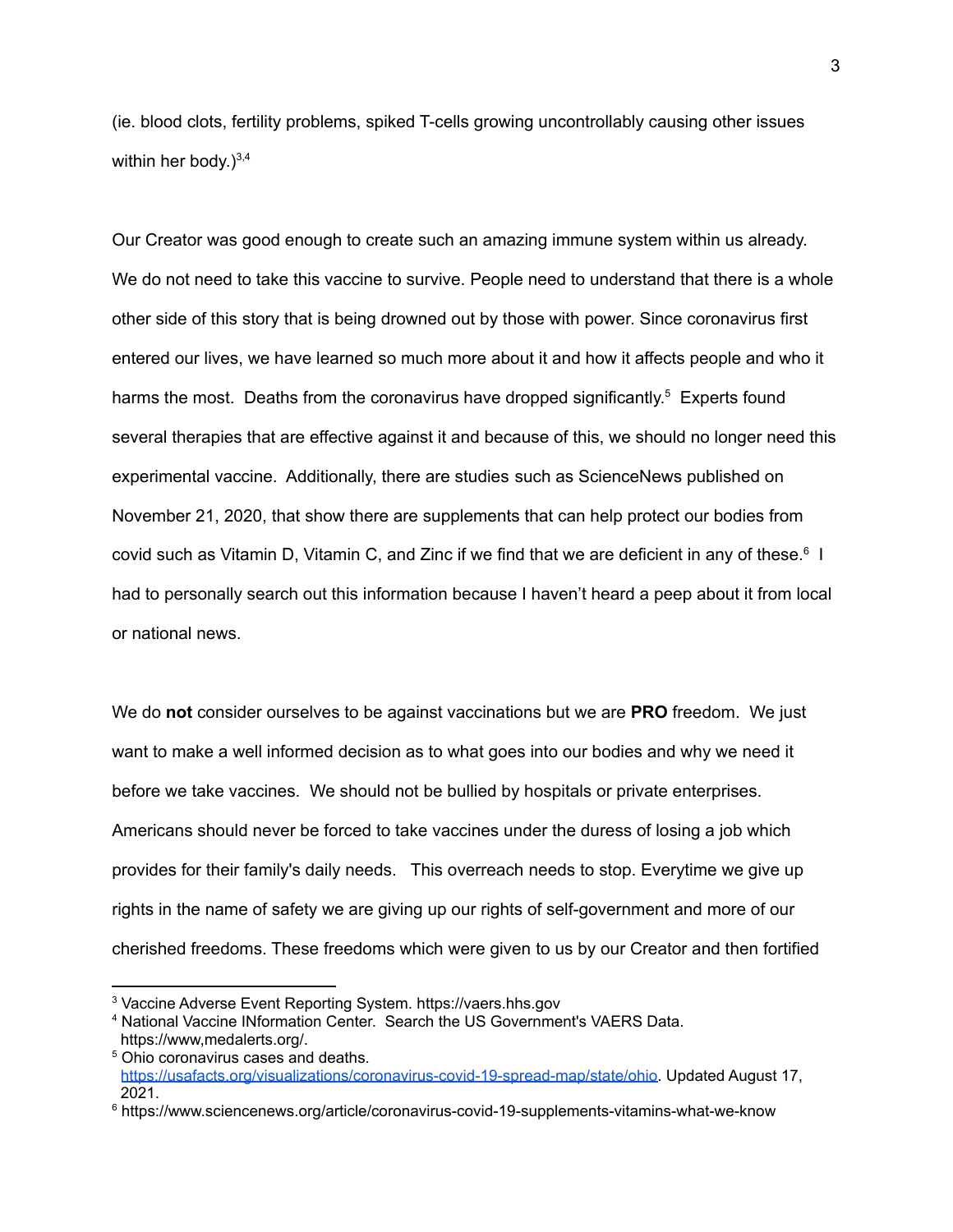(ie. blood clots, fertility problems, spiked T-cells growing uncontrollably causing other issues within her body.) $3,4$ 

Our Creator was good enough to create such an amazing immune system within us already. We do not need to take this vaccine to survive. People need to understand that there is a whole other side of this story that is being drowned out by those with power. Since coronavirus first entered our lives, we have learned so much more about it and how it affects people and who it harms the most. Deaths from the coronavirus have dropped significantly.<sup>5</sup> Experts found several therapies that are effective against it and because of this, we should no longer need this experimental vaccine. Additionally, there are studies such as ScienceNews published on November 21, 2020, that show there are supplements that can help protect our bodies from covid such as Vitamin D, Vitamin C, and Zinc if we find that we are deficient in any of these.<sup>6</sup> I had to personally search out this information because I haven't heard a peep about it from local or national news.

We do **not** consider ourselves to be against vaccinations but we are **PRO** freedom. We just want to make a well informed decision as to what goes into our bodies and why we need it before we take vaccines. We should not be bullied by hospitals or private enterprises. Americans should never be forced to take vaccines under the duress of losing a job which provides for their family's daily needs. This overreach needs to stop. Everytime we give up rights in the name of safety we are giving up our rights of self-government and more of our cherished freedoms. These freedoms which were given to us by our Creator and then fortified

<sup>3</sup> Vaccine Adverse Event Reporting System. https://vaers.hhs.gov

<sup>4</sup> National Vaccine INformation Center. Search the US Government's VAERS Data. https://www,medalerts.org/.

<sup>5</sup> Ohio coronavirus cases and deaths. [https://usafacts.org/visualizations/coronavirus-covid-19-spread-map/state/ohio.](https://usafacts.org/visualizations/coronavirus-covid-19-spread-map/state/ohio) Updated August 17, 2021.

<sup>6</sup> https://www.sciencenews.org/article/coronavirus-covid-19-supplements-vitamins-what-we-know